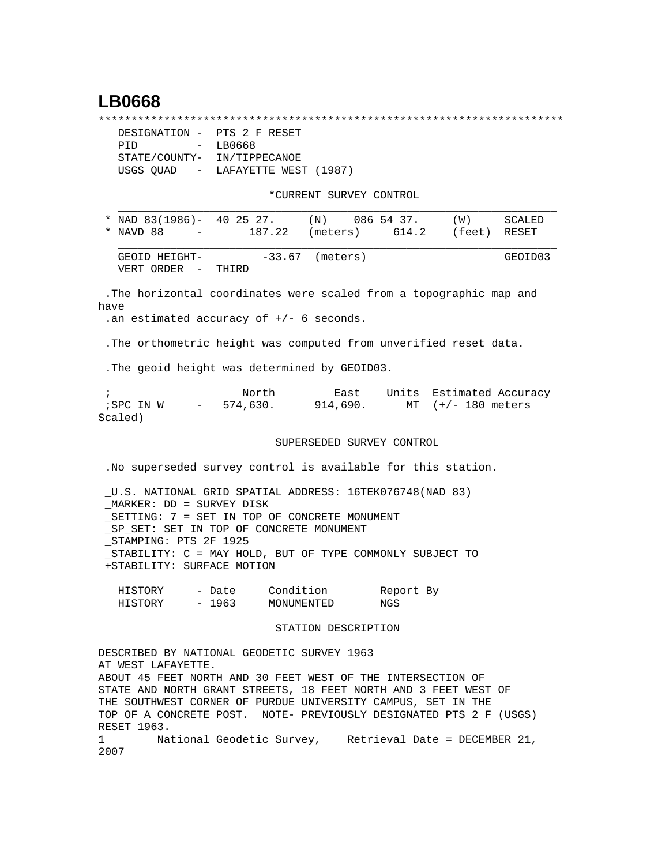## **LB0668**

\*\*\*\*\*\*\*\*\*\*\*\*\*\*\*\*\*\*\*\*\*\*\*\*\*\*\*\*\*\*\*\*\*\*\*\*\*\*\*\*\*\*\*\*\*\*\*\*\*\*\*\*\*\*\*\*\*\*\*\*\*\*\*\*\*\*\*\*\*\*\*

| DESIGNATION - PTS 2 F RESET |                                   |
|-----------------------------|-----------------------------------|
| PTD                         | $-LB0668$                         |
| STATE/COUNTY- IN/TIPPECANOE |                                   |
|                             | USGS OUAD - LAFAYETTE WEST (1987) |

\*CURRENT SURVEY CONTROL

| * NAD $83(1986) - 402527$ .           |        | ( N )             | 086 54 37. | (M)          | SCALED  |
|---------------------------------------|--------|-------------------|------------|--------------|---------|
| * NAVD 88<br><b>Contract Contract</b> | 187.22 | (meters)          | 614.2      | (feet) RESET |         |
| GEOID HEIGHT-<br>VERT ORDER –         | THIRD  | $-33.67$ (meters) |            |              | GEOID03 |

 .The horizontal coordinates were scaled from a topographic map and have

.an estimated accuracy of +/- 6 seconds.

.The orthometric height was computed from unverified reset data.

.The geoid height was determined by GEOID03.

;<br>
Rast Units Estimated Accuracy<br>
Fast Units Estimated Accuracy<br>
SPC IN W - 574,630.<br>
914,690.<br>
MT (+/-180 meters 914,690. MT (+/- 180 meters Scaled)

## SUPERSEDED SURVEY CONTROL

.No superseded survey control is available for this station.

 \_U.S. NATIONAL GRID SPATIAL ADDRESS: 16TEK076748(NAD 83) \_MARKER: DD = SURVEY DISK \_SETTING: 7 = SET IN TOP OF CONCRETE MONUMENT \_SP\_SET: SET IN TOP OF CONCRETE MONUMENT \_STAMPING: PTS 2F 1925 \_STABILITY: C = MAY HOLD, BUT OF TYPE COMMONLY SUBJECT TO +STABILITY: SURFACE MOTION

| HISTORY | - Date | Condition  | Report By |
|---------|--------|------------|-----------|
| HISTORY | - 1963 | MONUMENTED | NGS       |

## STATION DESCRIPTION

DESCRIBED BY NATIONAL GEODETIC SURVEY 1963 AT WEST LAFAYETTE. ABOUT 45 FEET NORTH AND 30 FEET WEST OF THE INTERSECTION OF STATE AND NORTH GRANT STREETS, 18 FEET NORTH AND 3 FEET WEST OF THE SOUTHWEST CORNER OF PURDUE UNIVERSITY CAMPUS, SET IN THE TOP OF A CONCRETE POST. NOTE- PREVIOUSLY DESIGNATED PTS 2 F (USGS) RESET 1963. 1 National Geodetic Survey, Retrieval Date = DECEMBER 21, 2007